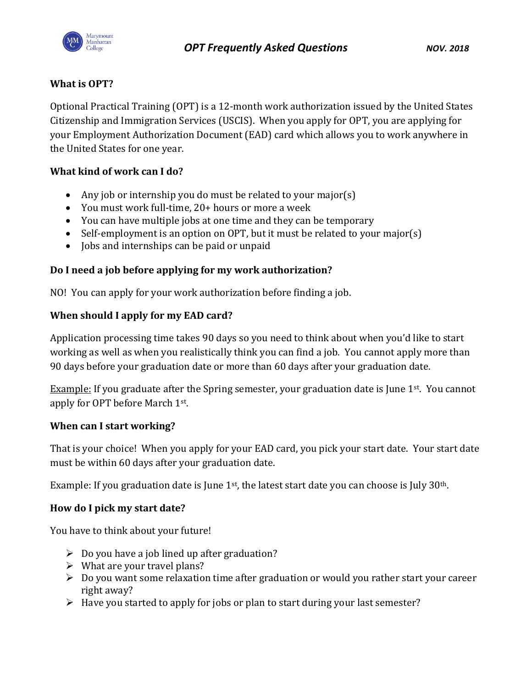

# **What is OPT?**

Optional Practical Training (OPT) is a 12-month work authorization issued by the United States Citizenship and Immigration Services (USCIS). When you apply for OPT, you are applying for your Employment Authorization Document (EAD) card which allows you to work anywhere in the United States for one year.

# **What kind of work can I do?**

- Any job or internship you do must be related to your major(s)
- You must work full-time, 20+ hours or more a week
- You can have multiple jobs at one time and they can be temporary
- Self-employment is an option on OPT, but it must be related to your major(s)
- Jobs and internships can be paid or unpaid

# **Do I need a job before applying for my work authorization?**

NO! You can apply for your work authorization before finding a job.

# **When should I apply for my EAD card?**

Application processing time takes 90 days so you need to think about when you'd like to start working as well as when you realistically think you can find a job. You cannot apply more than 90 days before your graduation date or more than 60 days after your graduation date.

Example: If you graduate after the Spring semester, your graduation date is June  $1<sup>st</sup>$ . You cannot apply for OPT before March 1st.

## **When can I start working?**

That is your choice! When you apply for your EAD card, you pick your start date. Your start date must be within 60 days after your graduation date.

Example: If you graduation date is June 1<sup>st</sup>, the latest start date you can choose is July 30<sup>th</sup>.

## **How do I pick my start date?**

You have to think about your future!

- $\triangleright$  Do you have a job lined up after graduation?
- $\triangleright$  What are your travel plans?
- $\triangleright$  Do you want some relaxation time after graduation or would you rather start your career right away?
- $\triangleright$  Have you started to apply for jobs or plan to start during your last semester?